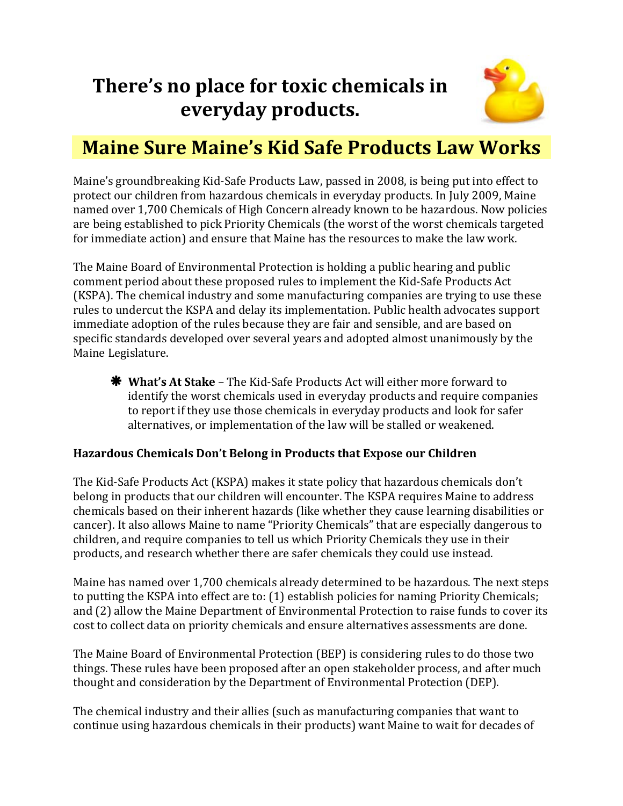# **There's no place for toxic chemicals in everyday products.**



# **Maine Sure Maine's Kid Safe Products Law Works**

Maine's groundbreaking Kid‐Safe Products Law, passed in 2008, is being put into effect to protect our children from hazardous chemicals in everyday products. In July 2009, Maine named over 1,700 Chemicals of High Concern already known to be hazardous. Now policies are being established to pick Priority Chemicals (the worst of the worst chemicals targeted for immediate action) and ensure that Maine has the resources to make the law work.

The Maine Board of Environmental Protection is holding a public hearing and public comment period about these proposed rules to implement the Kid‐Safe Products Act (KSPA). The chemical industry and some manufacturing companies are trying to use these rules to undercut the KSPA and delay its implementation. Public health advocates support immediate adoption of the rules because they are fair and sensible, and are based on specific standards developed over several years and adopted almost unanimously by the Maine Legislature.

 **What's At Stake** – The Kid‐Safe Products Act will either more forward to identify the worst chemicals used in everyday products and require companies to report if they use those chemicals in everyday products and look for safer alternatives, or implementation of the law will be stalled or weakened.

## **Hazardous Chemicals Don't Belong in Products that Expose our Children**

The Kid‐Safe Products Act (KSPA) makes it state policy that hazardous chemicals don't belong in products that our children will encounter. The KSPA requires Maine to address chemicals based on their inherent hazards (like whether they cause learning disabilities or cancer). It also allows Maine to name "Priority Chemicals" that are especially dangerous to children, and require companies to tell us which Priority Chemicals they use in their products, and research whether there are safer chemicals they could use instead.

Maine has named over 1,700 chemicals already determined to be hazardous. The next steps to putting the KSPA into effect are to: (1) establish policies for naming Priority Chemicals; and (2) allow the Maine Department of Environmental Protection to raise funds to cover its cost to collect data on priority chemicals and ensure alternatives assessments are done.

The Maine Board of Environmental Protection (BEP) is considering rules to do those two things. These rules have been proposed after an open stakeholder process, and after much thought and consideration by the Department of Environmental Protection (DEP).

The chemical industry and their allies (such as manufacturing companies that want to continue using hazardous chemicals in their products) want Maine to wait for decades of